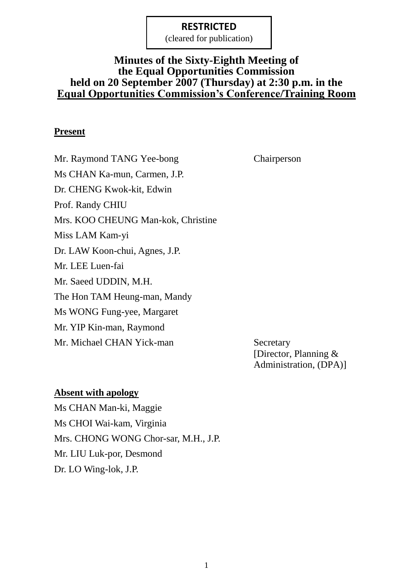(cleared for publication)

## **Minutes of the Sixty-Eighth Meeting of the Equal Opportunities Commission held on 20 September 2007 (Thursday) at 2:30 p.m. in the Equal Opportunities Commission's Conference/Training Room**

#### **Present**

Mr. Raymond TANG Yee-bong Chairperson Ms CHAN Ka-mun, Carmen, J.P. Dr. CHENG Kwok-kit, Edwin Prof. Randy CHIU Mrs. KOO CHEUNG Man-kok, Christine Miss LAM Kam-yi Dr. LAW Koon-chui, Agnes, J.P. Mr. LEE Luen-fai Mr. Saeed UDDIN, M.H. The Hon TAM Heung-man, Mandy Ms WONG Fung-yee, Margaret Mr. YIP Kin-man, Raymond Mr. Michael CHAN Yick-man Secretary

[Director, Planning & Administration, (DPA)]

#### **Absent with apology**

Ms CHAN Man-ki, Maggie Ms CHOI Wai-kam, Virginia Mrs. CHONG WONG Chor-sar, M.H., J.P. Mr. LIU Luk-por, Desmond Dr. LO Wing-lok, J.P.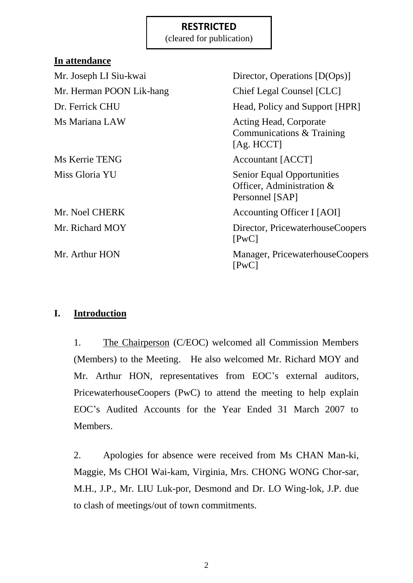(cleared for publication)

| <u>m</u> auchuance       |                                                                                   |
|--------------------------|-----------------------------------------------------------------------------------|
| Mr. Joseph LI Siu-kwai   | Director, Operations [D(Ops)]                                                     |
| Mr. Herman POON Lik-hang | Chief Legal Counsel [CLC]                                                         |
| Dr. Ferrick CHU          | Head, Policy and Support [HPR]                                                    |
| Ms Mariana LAW           | <b>Acting Head, Corporate</b><br>Communications & Training<br>[Ag. HCCT]          |
| Ms Kerrie TENG           | Accountant [ACCT]                                                                 |
| Miss Gloria YU           | <b>Senior Equal Opportunities</b><br>Officer, Administration &<br>Personnel [SAP] |
| Mr. Noel CHERK           | Accounting Officer I [AOI]                                                        |
| Mr. Richard MOY          | Director, PricewaterhouseCoopers<br>[PwC]                                         |
| Mr. Arthur HON           | Manager, PricewaterhouseCoopers<br>[PwC]                                          |

## **I. Introduction**

**In attendance**

1. The Chairperson (C/EOC) welcomed all Commission Members (Members) to the Meeting. He also welcomed Mr. Richard MOY and Mr. Arthur HON, representatives from EOC's external auditors, PricewaterhouseCoopers (PwC) to attend the meeting to help explain EOC's Audited Accounts for the Year Ended 31 March 2007 to Members.

2. Apologies for absence were received from Ms CHAN Man-ki, Maggie, Ms CHOI Wai-kam, Virginia, Mrs. CHONG WONG Chor-sar, M.H., J.P., Mr. LIU Luk-por, Desmond and Dr. LO Wing-lok, J.P. due to clash of meetings/out of town commitments.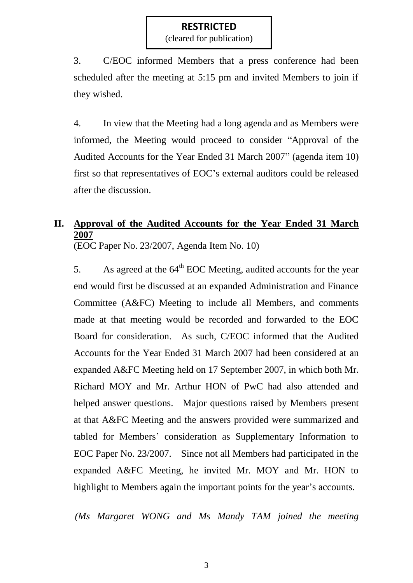(cleared for publication)

3. C/EOC informed Members that a press conference had been scheduled after the meeting at 5:15 pm and invited Members to join if they wished.

4. In view that the Meeting had a long agenda and as Members were informed, the Meeting would proceed to consider "Approval of the Audited Accounts for the Year Ended 31 March 2007" (agenda item 10) first so that representatives of EOC's external auditors could be released after the discussion.

# **II. Approval of the Audited Accounts for the Year Ended 31 March 2007**

(EOC Paper No. 23/2007, Agenda Item No. 10)

5. As agreed at the  $64<sup>th</sup>$  EOC Meeting, audited accounts for the year end would first be discussed at an expanded Administration and Finance Committee (A&FC) Meeting to include all Members, and comments made at that meeting would be recorded and forwarded to the EOC Board for consideration. As such, C/EOC informed that the Audited Accounts for the Year Ended 31 March 2007 had been considered at an expanded A&FC Meeting held on 17 September 2007, in which both Mr. Richard MOY and Mr. Arthur HON of PwC had also attended and helped answer questions. Major questions raised by Members present at that A&FC Meeting and the answers provided were summarized and tabled for Members' consideration as Supplementary Information to EOC Paper No. 23/2007. Since not all Members had participated in the expanded A&FC Meeting, he invited Mr. MOY and Mr. HON to highlight to Members again the important points for the year's accounts.

*(Ms Margaret WONG and Ms Mandy TAM joined the meeting*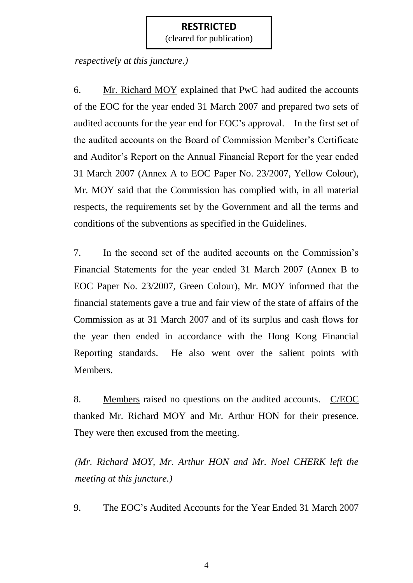(cleared for publication)

*respectively at this juncture.)*

6. Mr. Richard MOY explained that PwC had audited the accounts of the EOC for the year ended 31 March 2007 and prepared two sets of audited accounts for the year end for EOC's approval. In the first set of the audited accounts on the Board of Commission Member's Certificate and Auditor's Report on the Annual Financial Report for the year ended 31 March 2007 (Annex A to EOC Paper No. 23/2007, Yellow Colour), Mr. MOY said that the Commission has complied with, in all material respects, the requirements set by the Government and all the terms and conditions of the subventions as specified in the Guidelines.

7. In the second set of the audited accounts on the Commission's Financial Statements for the year ended 31 March 2007 (Annex B to EOC Paper No. 23/2007, Green Colour), Mr. MOY informed that the financial statements gave a true and fair view of the state of affairs of the Commission as at 31 March 2007 and of its surplus and cash flows for the year then ended in accordance with the Hong Kong Financial Reporting standards. He also went over the salient points with Members.

8. Members raised no questions on the audited accounts. C/EOC thanked Mr. Richard MOY and Mr. Arthur HON for their presence. They were then excused from the meeting.

*(Mr. Richard MOY, Mr. Arthur HON and Mr. Noel CHERK left the meeting at this juncture.)*

9. The EOC's Audited Accounts for the Year Ended 31 March 2007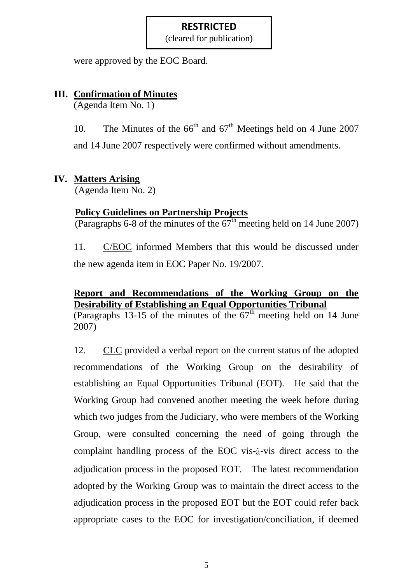(cleared for publication)

were approved by the EOC Board.

## **III. Confirmation of Minutes**

(Agenda Item No. 1)

10. The Minutes of the  $66<sup>th</sup>$  and  $67<sup>th</sup>$  Meetings held on 4 June 2007 and 14 June 2007 respectively were confirmed without amendments.

## **IV. Matters Arising**

(Agenda Item No. 2)

## **Policy Guidelines on Partnership Projects**

(Paragraphs 6-8 of the minutes of the  $67<sup>th</sup>$  meeting held on 14 June 2007)

11. C/EOC informed Members that this would be discussed under the new agenda item in EOC Paper No. 19/2007.

# **Report and Recommendations of the Working Group on the Desirability of Establishing an Equal Opportunities Tribunal**

(Paragraphs 13-15 of the minutes of the  $67<sup>th</sup>$  meeting held on 14 June 2007)

12. CLC provided a verbal report on the current status of the adopted recommendations of the Working Group on the desirability of establishing an Equal Opportunities Tribunal (EOT). He said that the Working Group had convened another meeting the week before during which two judges from the Judiciary, who were members of the Working Group, were consulted concerning the need of going through the complaint handling process of the EOC vis-à-vis direct access to the adjudication process in the proposed EOT. The latest recommendation adopted by the Working Group was to maintain the direct access to the adjudication process in the proposed EOT but the EOT could refer back appropriate cases to the EOC for investigation/conciliation, if deemed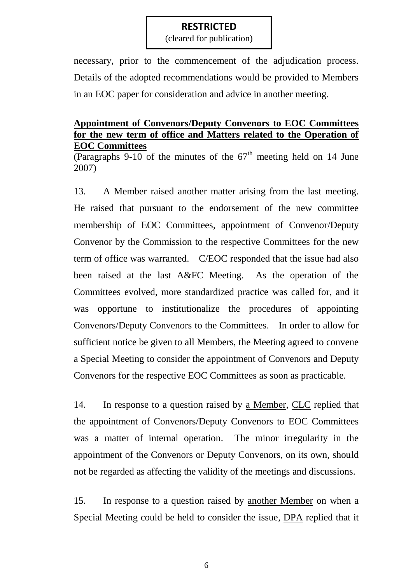(cleared for publication)

necessary, prior to the commencement of the adjudication process. Details of the adopted recommendations would be provided to Members in an EOC paper for consideration and advice in another meeting.

### **Appointment of Convenors/Deputy Convenors to EOC Committees for the new term of office and Matters related to the Operation of EOC Committees**

(Paragraphs  $9-10$  of the minutes of the  $67<sup>th</sup>$  meeting held on 14 June 2007)

13. A Member raised another matter arising from the last meeting. He raised that pursuant to the endorsement of the new committee membership of EOC Committees, appointment of Convenor/Deputy Convenor by the Commission to the respective Committees for the new term of office was warranted. C/EOC responded that the issue had also been raised at the last A&FC Meeting. As the operation of the Committees evolved, more standardized practice was called for, and it was opportune to institutionalize the procedures of appointing Convenors/Deputy Convenors to the Committees. In order to allow for sufficient notice be given to all Members, the Meeting agreed to convene a Special Meeting to consider the appointment of Convenors and Deputy Convenors for the respective EOC Committees as soon as practicable.

14. In response to a question raised by a Member, CLC replied that the appointment of Convenors/Deputy Convenors to EOC Committees was a matter of internal operation. The minor irregularity in the appointment of the Convenors or Deputy Convenors, on its own, should not be regarded as affecting the validity of the meetings and discussions.

15. In response to a question raised by another Member on when a Special Meeting could be held to consider the issue, DPA replied that it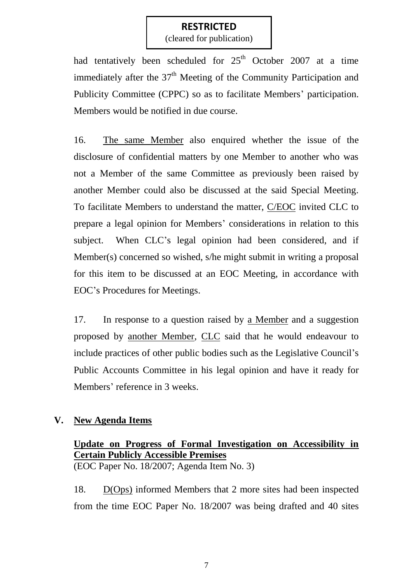(cleared for publication)

had tentatively been scheduled for  $25<sup>th</sup>$  October 2007 at a time immediately after the  $37<sup>th</sup>$  Meeting of the Community Participation and Publicity Committee (CPPC) so as to facilitate Members' participation. Members would be notified in due course.

16. The same Member also enquired whether the issue of the disclosure of confidential matters by one Member to another who was not a Member of the same Committee as previously been raised by another Member could also be discussed at the said Special Meeting. To facilitate Members to understand the matter, C/EOC invited CLC to prepare a legal opinion for Members' considerations in relation to this subject. When CLC's legal opinion had been considered, and if Member(s) concerned so wished, s/he might submit in writing a proposal for this item to be discussed at an EOC Meeting, in accordance with EOC's Procedures for Meetings.

17. In response to a question raised by a Member and a suggestion proposed by another Member, CLC said that he would endeavour to include practices of other public bodies such as the Legislative Council's Public Accounts Committee in his legal opinion and have it ready for Members' reference in 3 weeks.

### **V. New Agenda Items**

# **Update on Progress of Formal Investigation on Accessibility in Certain Publicly Accessible Premises**

(EOC Paper No. 18/2007; Agenda Item No. 3)

18. D(Ops) informed Members that 2 more sites had been inspected from the time EOC Paper No. 18/2007 was being drafted and 40 sites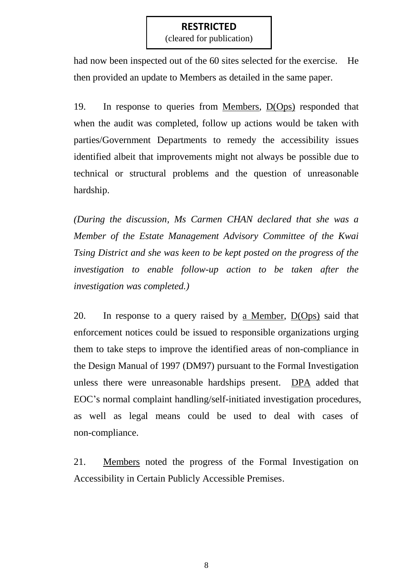(cleared for publication)

had now been inspected out of the 60 sites selected for the exercise. He then provided an update to Members as detailed in the same paper.

19. In response to queries from Members, D(Ops) responded that when the audit was completed, follow up actions would be taken with parties/Government Departments to remedy the accessibility issues identified albeit that improvements might not always be possible due to technical or structural problems and the question of unreasonable hardship.

*(During the discussion, Ms Carmen CHAN declared that she was a Member of the Estate Management Advisory Committee of the Kwai Tsing District and she was keen to be kept posted on the progress of the investigation to enable follow-up action to be taken after the investigation was completed.)*

20. In response to a query raised by a Member, D(Ops) said that enforcement notices could be issued to responsible organizations urging them to take steps to improve the identified areas of non-compliance in the Design Manual of 1997 (DM97) pursuant to the Formal Investigation unless there were unreasonable hardships present. DPA added that EOC's normal complaint handling/self-initiated investigation procedures, as well as legal means could be used to deal with cases of non-compliance.

21. Members noted the progress of the Formal Investigation on Accessibility in Certain Publicly Accessible Premises.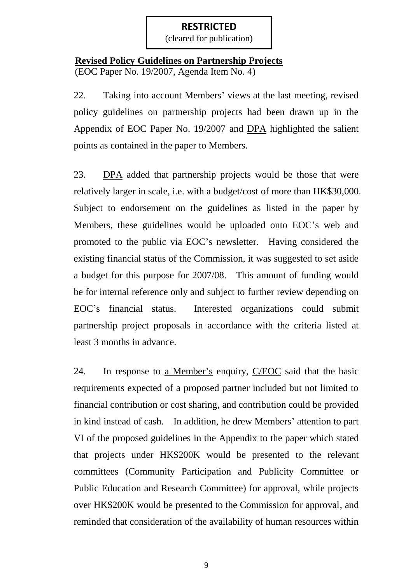(cleared for publication)

## **Revised Policy Guidelines on Partnership Projects** (EOC Paper No. 19/2007, Agenda Item No. 4)

22. Taking into account Members' views at the last meeting, revised policy guidelines on partnership projects had been drawn up in the Appendix of EOC Paper No. 19/2007 and DPA highlighted the salient points as contained in the paper to Members.

23. DPA added that partnership projects would be those that were relatively larger in scale, i.e. with a budget/cost of more than HK\$30,000. Subject to endorsement on the guidelines as listed in the paper by Members, these guidelines would be uploaded onto EOC's web and promoted to the public via EOC's newsletter. Having considered the existing financial status of the Commission, it was suggested to set aside a budget for this purpose for 2007/08. This amount of funding would be for internal reference only and subject to further review depending on EOC's financial status. Interested organizations could submit partnership project proposals in accordance with the criteria listed at least 3 months in advance.

24. In response to a Member's enquiry, C/EOC said that the basic requirements expected of a proposed partner included but not limited to financial contribution or cost sharing, and contribution could be provided in kind instead of cash. In addition, he drew Members' attention to part VI of the proposed guidelines in the Appendix to the paper which stated that projects under HK\$200K would be presented to the relevant committees (Community Participation and Publicity Committee or Public Education and Research Committee) for approval, while projects over HK\$200K would be presented to the Commission for approval, and reminded that consideration of the availability of human resources within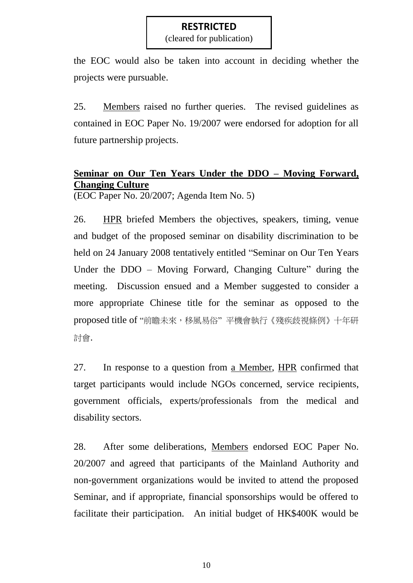(cleared for publication)

the EOC would also be taken into account in deciding whether the projects were pursuable.

25. Members raised no further queries. The revised guidelines as contained in EOC Paper No. 19/2007 were endorsed for adoption for all future partnership projects.

# **Seminar on Our Ten Years Under the DDO – Moving Forward, Changing Culture**

(EOC Paper No. 20/2007; Agenda Item No. 5)

26. HPR briefed Members the objectives, speakers, timing, venue and budget of the proposed seminar on disability discrimination to be held on 24 January 2008 tentatively entitled "Seminar on Our Ten Years Under the DDO – Moving Forward, Changing Culture" during the meeting. Discussion ensued and a Member suggested to consider a more appropriate Chinese title for the seminar as opposed to the proposed title of "前瞻未來,移風易俗"平機會執行《殘疾歧視條例》十年研 討會.

27. In response to a question from a Member, HPR confirmed that target participants would include NGOs concerned, service recipients, government officials, experts/professionals from the medical and disability sectors.

28. After some deliberations, Members endorsed EOC Paper No. 20/2007 and agreed that participants of the Mainland Authority and non-government organizations would be invited to attend the proposed Seminar, and if appropriate, financial sponsorships would be offered to facilitate their participation. An initial budget of HK\$400K would be

10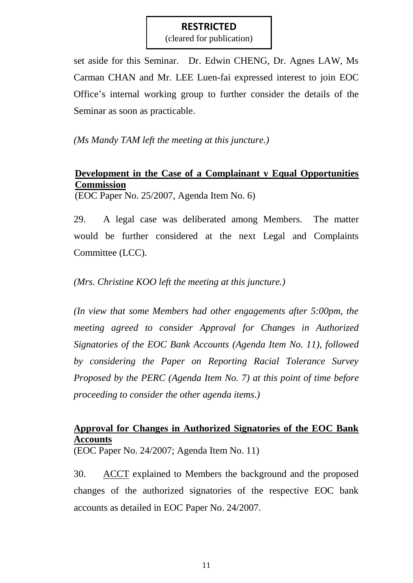(cleared for publication)

set aside for this Seminar. Dr. Edwin CHENG, Dr. Agnes LAW, Ms Carman CHAN and Mr. LEE Luen-fai expressed interest to join EOC Office's internal working group to further consider the details of the Seminar as soon as practicable.

*(Ms Mandy TAM left the meeting at this juncture.)*

# **Development in the Case of a Complainant v Equal Opportunities Commission**

(EOC Paper No. 25/2007, Agenda Item No. 6)

29. A legal case was deliberated among Members. The matter would be further considered at the next Legal and Complaints Committee (LCC).

*(Mrs. Christine KOO left the meeting at this juncture.)*

*(In view that some Members had other engagements after 5:00pm, the meeting agreed to consider Approval for Changes in Authorized Signatories of the EOC Bank Accounts (Agenda Item No. 11), followed by considering the Paper on Reporting Racial Tolerance Survey Proposed by the PERC (Agenda Item No. 7) at this point of time before proceeding to consider the other agenda items.)*

# **Approval for Changes in Authorized Signatories of the EOC Bank Accounts**

(EOC Paper No. 24/2007; Agenda Item No. 11)

30. ACCT explained to Members the background and the proposed changes of the authorized signatories of the respective EOC bank accounts as detailed in EOC Paper No. 24/2007.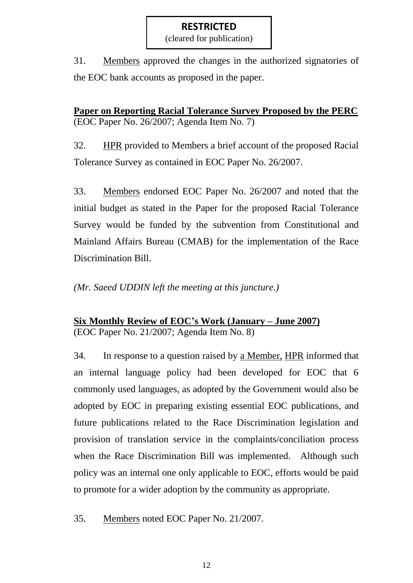(cleared for publication)

31. Members approved the changes in the authorized signatories of the EOC bank accounts as proposed in the paper.

**Paper on Reporting Racial Tolerance Survey Proposed by the PERC** (EOC Paper No. 26/2007; Agenda Item No. 7)

32. HPR provided to Members a brief account of the proposed Racial Tolerance Survey as contained in EOC Paper No. 26/2007.

33. Members endorsed EOC Paper No. 26/2007 and noted that the initial budget as stated in the Paper for the proposed Racial Tolerance Survey would be funded by the subvention from Constitutional and Mainland Affairs Bureau (CMAB) for the implementation of the Race Discrimination Bill.

*(Mr. Saeed UDDIN left the meeting at this juncture.)*

## **Six Monthly Review of EOC's Work (January – June 2007)** (EOC Paper No. 21/2007; Agenda Item No. 8)

34. In response to a question raised by a Member, HPR informed that an internal language policy had been developed for EOC that 6 commonly used languages, as adopted by the Government would also be adopted by EOC in preparing existing essential EOC publications, and future publications related to the Race Discrimination legislation and provision of translation service in the complaints/conciliation process when the Race Discrimination Bill was implemented. Although such policy was an internal one only applicable to EOC, efforts would be paid to promote for a wider adoption by the community as appropriate.

35. Members noted EOC Paper No. 21/2007.